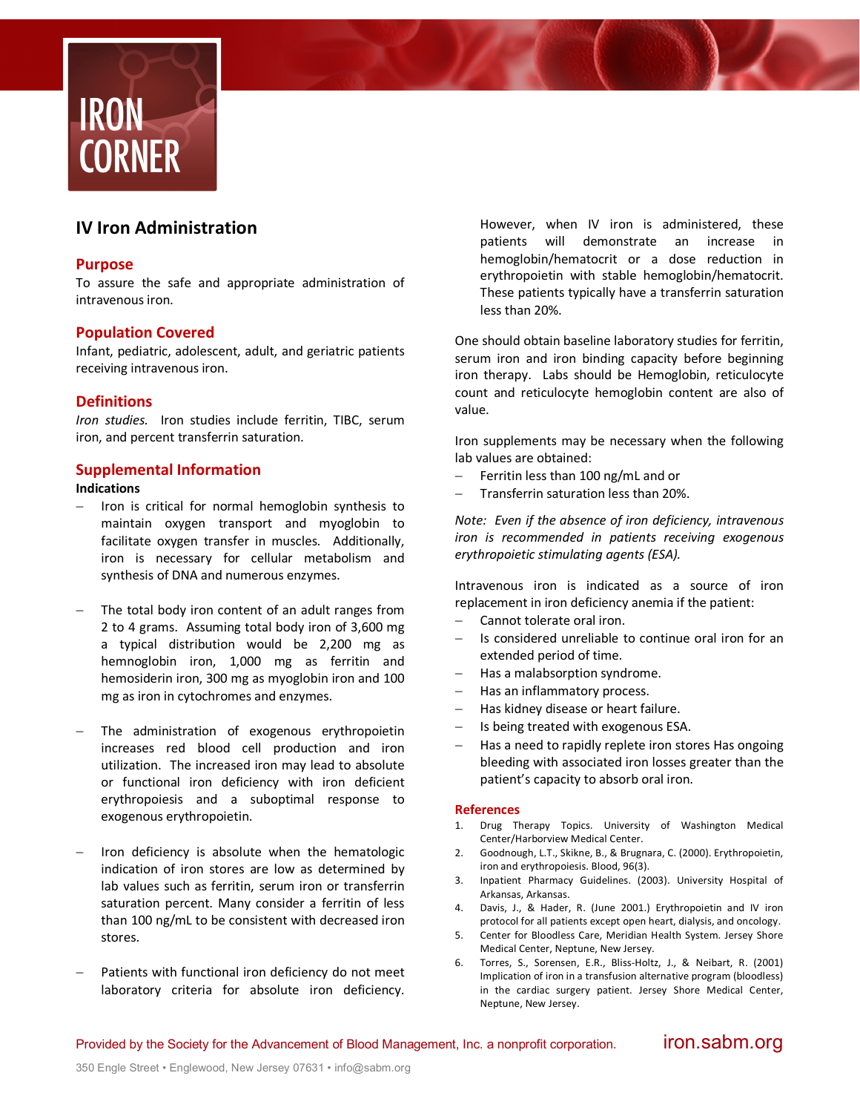

# **IV Iron Administration**

## **Purpose**

To assure the safe and appropriate administration of intravenous iron.

## **Population Covered**

Infant, pediatric, adolescent, adult, and geriatric patients receiving intravenous iron.

# **Definitions**

*Iron studies.* Iron studies include ferritin, TIBC, serum iron, and percent transferrin saturation.

### **Supplemental Information**

## **Indications**

- Iron is critical for normal hemoglobin synthesis to maintain oxygen transport and myoglobin to facilitate oxygen transfer in muscles. Additionally, iron is necessary for cellular metabolism and synthesis of DNA and numerous enzymes.
- The total body iron content of an adult ranges from 2 to 4 grams. Assuming total body iron of 3,600 mg a typical distribution would be 2,200 mg as hemnoglobin iron, 1,000 mg as ferritin and hemosiderin iron, 300 mg as myoglobin iron and 100 mg as iron in cytochromes and enzymes.
- The administration of exogenous erythropoietin increases red blood cell production and iron utilization. The increased iron may lead to absolute or functional iron deficiency with iron deficient erythropoiesis and a suboptimal response to exogenous erythropoietin.
- Iron deficiency is absolute when the hematologic indication of iron stores are low as determined by lab values such as ferritin, serum iron or transferrin saturation percent. Many consider a ferritin of less than 100 ng/mL to be consistent with decreased iron stores.
- Patients with functional iron deficiency do not meet laboratory criteria for absolute iron deficiency.

However, when IV iron is administered, these patients will demonstrate an increase in hemoglobin/hematocrit or a dose reduction in erythropoietin with stable hemoglobin/hematocrit. These patients typically have a transferrin saturation less than 20%.

One should obtain baseline laboratory studies for ferritin, serum iron and iron binding capacity before beginning iron therapy. Labs should be Hemoglobin, reticulocyte count and reticulocyte hemoglobin content are also of value.

Iron supplements may be necessary when the following lab values are obtained:

- Ferritin less than 100 ng/mL and or
- Transferrin saturation less than 20%.

*Note: Even if the absence of iron deficiency, intravenous iron is recommended in patients receiving exogenous erythropoietic stimulating agents (ESA).* 

Intravenous iron is indicated as a source of iron replacement in iron deficiency anemia if the patient:

- Cannot tolerate oral iron.
- Is considered unreliable to continue oral iron for an extended period of time.
- Has a malabsorption syndrome.
- Has an inflammatory process.
- Has kidney disease or heart failure.
- Is being treated with exogenous ESA.
- Has a need to rapidly replete iron stores Has ongoing bleeding with associated iron losses greater than the patient's capacity to absorb oral iron.

#### **References**

- 1. Drug Therapy Topics. University of Washington Medical Center/Harborview Medical Center.
- 2. Goodnough, L.T., Skikne, B., & Brugnara, C. (2000). Erythropoietin, iron and erythropoiesis. Blood, 96(3).
- 3. Inpatient Pharmacy Guidelines. (2003). University Hospital of Arkansas, Arkansas.
- 4. Davis, J., & Hader, R. (June 2001.) Erythropoietin and IV iron protocol for all patients except open heart, dialysis, and oncology.
- 5. Center for Bloodless Care, Meridian Health System. Jersey Shore Medical Center, Neptune, New Jersey.
- 6. Torres, S., Sorensen, E.R., Bliss-Holtz, J., & Neibart, R. (2001) Implication of iron in a transfusion alternative program (bloodless) in the cardiac surgery patient. Jersey Shore Medical Center, Neptune, New Jersey.